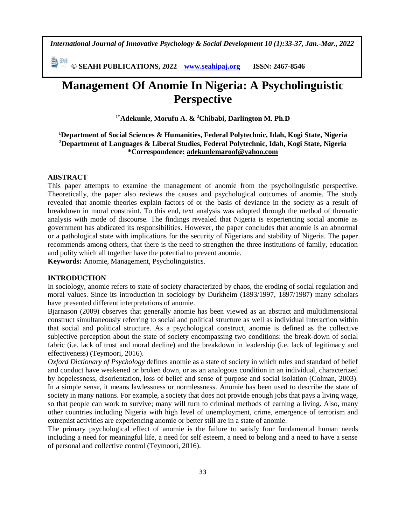*International Journal of Innovative Psychology & Social Development 10 (1):33-37, Jan.-Mar., 2022*

**© SEAHI PUBLICATIONS, 2022 [www.seahipaj.org](http://www.seahipaj.org/) ISSN: 2467-8546**

# **Management Of Anomie In Nigeria: A Psycholinguistic Perspective**

**1\*Adekunle, Morufu A. & <sup>2</sup>Chibabi, Darlington M. Ph.D**

# **<sup>1</sup>Department of Social Sciences & Humanities, Federal Polytechnic, Idah, Kogi State, Nigeria <sup>2</sup>Department of Languages & Liberal Studies, Federal Polytechnic, Idah, Kogi State, Nigeria \*Correspondence: [adekunlemaroof@yahoo.com](mailto:adekunlemaroof@yahoo.com)**

#### **ABSTRACT**

This paper attempts to examine the management of anomie from the psycholinguistic perspective. Theoretically, the paper also reviews the causes and psychological outcomes of anomie. The study revealed that anomie theories explain factors of or the basis of deviance in the society as a result of breakdown in moral constraint. To this end, text analysis was adopted through the method of thematic analysis with mode of discourse. The findings revealed that Nigeria is experiencing social anomie as government has abdicated its responsibilities. However, the paper concludes that anomie is an abnormal or a pathological state with implications for the security of Nigerians and stability of Nigeria. The paper recommends among others, that there is the need to strengthen the three institutions of family, education and polity which all together have the potential to prevent anomie.

**Keywords:** Anomie, Management, Psycholinguistics.

#### **INTRODUCTION**

In sociology, anomie refers to state of society characterized by chaos, the eroding of social regulation and moral values. Since its introduction in sociology by Durkheim (1893/1997, 1897/1987) many scholars have presented different interpretations of anomie.

Bjarnason (2009) observes that generally anomie has been viewed as an abstract and multidimensional construct simultaneously referring to social and political structure as well as individual interaction within that social and political structure. As a psychological construct, anomie is defined as the collective subjective perception about the state of society encompassing two conditions: the break-down of social fabric (i.e. lack of trust and moral decline) and the breakdown in leadership (i.e. lack of legitimacy and effectiveness) (Teymoori, 2016).

*Oxford Dictionary of Psychology* defines anomie as a state of society in which rules and standard of belief and conduct have weakened or broken down, or as an analogous condition in an individual, characterized by hopelessness, disorientation, loss of belief and sense of purpose and social isolation (Colman, 2003). In a simple sense, it means lawlessness or normlessness. Anomie has been used to describe the state of society in many nations. For example, a society that does not provide enough jobs that pays a living wage, so that people can work to survive; many will turn to criminal methods of earning a living. Also, many other countries including Nigeria with high level of unemployment, crime, emergence of terrorism and extremist activities are experiencing anomie or better still are in a state of anomie.

The primary psychological effect of anomie is the failure to satisfy four fundamental human needs including a need for meaningful life, a need for self esteem, a need to belong and a need to have a sense of personal and collective control (Teymoori, 2016).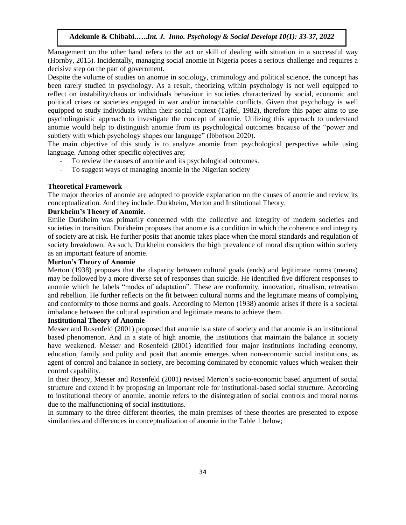## **Adekunle & Chibabi.…..***Int. J. Inno. Psychology & Social Developt 10(1): 33-37, 2022*

Management on the other hand refers to the act or skill of dealing with situation in a successful way (Hornby, 2015). Incidentally, managing social anomie in Nigeria poses a serious challenge and requires a decisive step on the part of government.

Despite the volume of studies on anomie in sociology, criminology and political science, the concept has been rarely studied in psychology. As a result, theorizing within psychology is not well equipped to reflect on instability/chaos or individuals behaviour in societies characterized by social, economic and political crises or societies engaged in war and/or intractable conflicts. Given that psychology is well equipped to study individuals within their social context (Tajfel, 1982), therefore this paper aims to use psycholinguistic approach to investigate the concept of anomie. Utilizing this approach to understand anomie would help to distinguish anomie from its psychological outcomes because of the "power and subtlety with which psychology shapes our language" (Ibbotson 2020).

The main objective of this study is to analyze anomie from psychological perspective while using language. Among other specific objectives are;

- To review the causes of anomie and its psychological outcomes.
- To suggest ways of managing anomie in the Nigerian society

#### **Theoretical Framework**

The major theories of anomie are adopted to provide explanation on the causes of anomie and review its conceptualization. And they include: Durkheim, Merton and Institutional Theory.

# **Durkheim's Theory of Anomie.**

Emile Durkheim was primarily concerned with the collective and integrity of modern societies and societies in transition. Durkheim proposes that anomie is a condition in which the coherence and integrity of society are at risk. He further posits that anomie takes place when the moral standards and regulation of society breakdown. As such, Durkheim considers the high prevalence of moral disruption within society as an important feature of anomie.

## **Merton's Theory of Anomie**

Merton (1938) proposes that the disparity between cultural goals (ends) and legitimate norms (means) may be followed by a more diverse set of responses than suicide. He identified five different responses to anomie which he labels "modes of adaptation". These are conformity, innovation, ritualism, retreatism and rebellion. He further reflects on the fit between cultural norms and the legitimate means of complying and conformity to those norms and goals. According to Merton (1938) anomie arises if there is a societal imbalance between the cultural aspiration and legitimate means to achieve them.

# **Institutional Theory of Anomie**

Messer and Rosenfeld (2001) proposed that anomie is a state of society and that anomie is an institutional based phenomenon. And in a state of high anomie, the institutions that maintain the balance in society have weakened. Messer and Rosenfeld (2001) identified four major institutions including economy, education, family and polity and posit that anomie emerges when non-economic social institutions, as agent of control and balance in society, are becoming dominated by economic values which weaken their control capability.

In their theory, Messer and Rosenfeld (2001) revised Merton's socio-economic based argument of social structure and extend it by proposing an important role for institutional-based social structure. According to institutional theory of anomie, anomie refers to the disintegration of social controls and moral norms due to the malfunctioning of social institutions.

In summary to the three different theories, the main premises of these theories are presented to expose similarities and differences in conceptualization of anomie in the Table 1 below;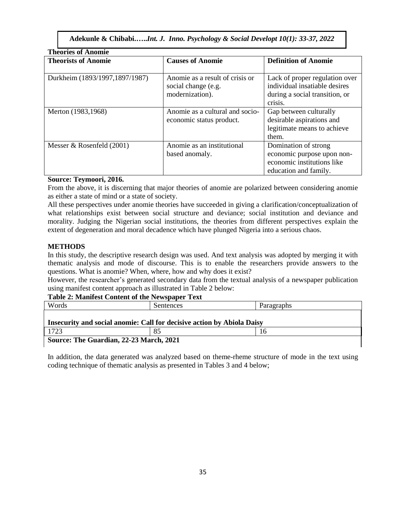**Adekunle & Chibabi.…..***Int. J. Inno. Psychology & Social Developt 10(1): 33-37, 2022*

| <b>Theories of Anomie</b>      |                                 |                                |  |  |  |
|--------------------------------|---------------------------------|--------------------------------|--|--|--|
| <b>Theorists of Anomie</b>     | <b>Causes of Anomie</b>         | <b>Definition of Anomie</b>    |  |  |  |
|                                |                                 |                                |  |  |  |
| Durkheim (1893/1997,1897/1987) | Anomie as a result of crisis or | Lack of proper regulation over |  |  |  |
|                                | social change (e.g.             | individual insatiable desires  |  |  |  |
|                                | modernization).                 | during a social transition, or |  |  |  |
|                                |                                 | crisis.                        |  |  |  |
| Merton (1983,1968)             | Anomie as a cultural and socio- | Gap between culturally         |  |  |  |
|                                | economic status product.        | desirable aspirations and      |  |  |  |
|                                |                                 | legitimate means to achieve    |  |  |  |
|                                |                                 | them.                          |  |  |  |
| Messer & Rosenfeld $(2001)$    | Anomie as an institutional      | Domination of strong           |  |  |  |
|                                | based anomaly.                  | economic purpose upon non-     |  |  |  |
|                                |                                 | economic institutions like     |  |  |  |
|                                |                                 | education and family.          |  |  |  |

#### **Source: Teymoori, 2016.**

From the above, it is discerning that major theories of anomie are polarized between considering anomie as either a state of mind or a state of society.

All these perspectives under anomie theories have succeeded in giving a clarification/conceptualization of what relationships exist between social structure and deviance; social institution and deviance and morality. Judging the Nigerian social institutions, the theories from different perspectives explain the extent of degeneration and moral decadence which have plunged Nigeria into a serious chaos.

# **METHODS**

In this study, the descriptive research design was used. And text analysis was adopted by merging it with thematic analysis and mode of discourse. This is to enable the researchers provide answers to the questions. What is anomie? When, where, how and why does it exist?

However, the researcher's generated secondary data from the textual analysis of a newspaper publication using manifest content approach as illustrated in Table 2 below:

# **Table 2: Manifest Content of the Newspaper Text**

| Words                                                                  | Sentences | Paragraphs |  |  |  |
|------------------------------------------------------------------------|-----------|------------|--|--|--|
| Insecurity and social anomie: Call for decisive action by Abiola Daisy |           |            |  |  |  |
| 1723                                                                   | 85        | 16         |  |  |  |
| Source: The Guardian, 22-23 March, 2021                                |           |            |  |  |  |

In addition, the data generated was analyzed based on theme-rheme structure of mode in the text using coding technique of thematic analysis as presented in Tables 3 and 4 below;

 $\overline{\phantom{a}}$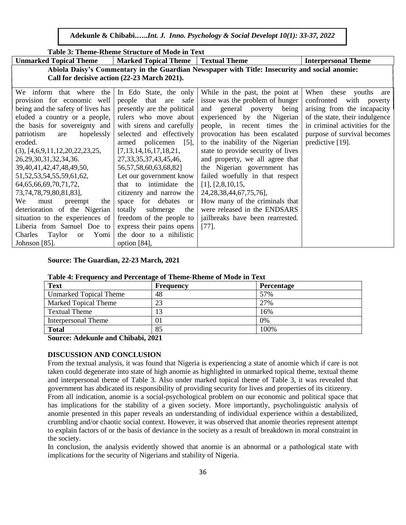**Adekunle & Chibabi.…..***Int. J. Inno. Psychology & Social Developt 10(1): 33-37, 2022*

| Table 3: Theme-Rheme Structure of Mode in Text                                                |                                      |                                    |                                |  |  |
|-----------------------------------------------------------------------------------------------|--------------------------------------|------------------------------------|--------------------------------|--|--|
| <b>Unmarked Topical Theme</b>                                                                 | <b>Marked Topical Theme</b>          | <b>Textual Theme</b>               | <b>Interpersonal Theme</b>     |  |  |
| Abiola Daisy's Commentary in the Guardian Newspaper with Title: Insecurity and social anomie: |                                      |                                    |                                |  |  |
| Call for decisive action (22-23 March 2021).                                                  |                                      |                                    |                                |  |  |
| We inform that where the                                                                      | In Edo State, the only               | While in the past, the point at    | When these youths<br>are       |  |  |
| provision for economic well                                                                   | people that are<br>safe              | issue was the problem of hunger    | confronted<br>with<br>poverty  |  |  |
| being and the safety of lives has                                                             | presently are the political          | and general poverty being          | arising from the incapacity    |  |  |
| eluded a country or a people,                                                                 | rulers who move about                | experienced by the Nigerian        | of the state, their indulgence |  |  |
| the basis for sovereignty and                                                                 | with sirens and carefully            | people, in recent times the        | in criminal activities for the |  |  |
| patriotism<br>hopelessly<br>are                                                               | selected and effectively             | provocation has been escalated     | purpose of survival becomes    |  |  |
| eroded.                                                                                       | armed policemen<br>$\left[5\right],$ | to the inability of the Nigerian   | predictive [19].               |  |  |
| $(3)$ , [4,6,9,11,12,20,22,23,25,                                                             | [7,13,14,16,17,18,21,                | state to provide security of lives |                                |  |  |
| 26, 29, 30, 31, 32, 34, 36.                                                                   | 27, 33, 35, 37, 43, 45, 46,          | and property, we all agree that    |                                |  |  |
| 39, 40, 41, 42, 47, 48, 49, 50,                                                               | 56, 57, 58, 60, 63, 68, 82]          | the Nigerian government has        |                                |  |  |
| 51, 52, 53, 54, 55, 59, 61, 62,                                                               | Let our government know              | failed woefully in that respect    |                                |  |  |
| 64, 65, 66, 69, 70, 71, 72,                                                                   | that to intimidate the               | $[1]$ , $[2,8,10,15]$ ,            |                                |  |  |
| 73, 74, 78, 79, 80, 81, 83],                                                                  | citizenry and narrow the             | 24, 28, 38, 44, 67, 75, 76],       |                                |  |  |
| We<br>must<br>preempt<br>the                                                                  | space for debates<br><sub>or</sub>   | How many of the criminals that     |                                |  |  |
| deterioration of the Nigerian                                                                 | totally<br>submerge<br>the           | were released in the ENDSARS       |                                |  |  |
| situation to the experiences of                                                               | freedom of the people to             | jailbreaks have been rearrested.   |                                |  |  |
| Liberia from Samuel Doe to                                                                    | express their pains opens            | $[77]$                             |                                |  |  |
| Yomi<br>Taylor<br>Charles<br><sub>or</sub>                                                    | the door to a nihilistic             |                                    |                                |  |  |
| Johnson $[85]$ .                                                                              | option [84],                         |                                    |                                |  |  |

#### **Source: The Guardian, 22-23 March, 2021**

#### **Table 4: Frequency and Percentage of Theme-Rheme of Mode in Text**

| <b>Text</b>                   | Frequency | <b>Percentage</b> |  |  |
|-------------------------------|-----------|-------------------|--|--|
| <b>Unmarked Topical Theme</b> | 48        | 57%               |  |  |
| <b>Marked Topical Theme</b>   | 23        | 27%               |  |  |
| <b>Textual Theme</b>          | 13        | 16%               |  |  |
| <b>Interpersonal Theme</b>    | 01        | 0%                |  |  |
| <b>Total</b>                  | 85        | 100%              |  |  |

**Source: Adekunle and Chibabi, 2021**

#### **DISCUSSION AND CONCLUSION**

From the textual analysis, it was found that Nigeria is experiencing a state of anomie which if care is not taken could degenerate into state of high anomie as highlighted in unmarked topical theme, textual theme and interpersonal theme of Table 3. Also under marked topical theme of Table 3, it was revealed that government has abdicated its responsibility of providing security for lives and properties of its citizenry.

From all indication, anomie is a social-psychological problem on our economic and political space that has implications for the stability of a given society. More importantly, psycholinguistic analysis of anomie presented in this paper reveals an understanding of individual experience within a destabilized, crumbling and/or chaotic social context. However, it was observed that anomie theories represent attempt to explain factors of or the basis of deviance in the society as a result of breakdown in moral constraint in the society.

In conclusion, the analysis evidently showed that anomie is an abnormal or a pathological state with implications for the security of Nigerians and stability of Nigeria.